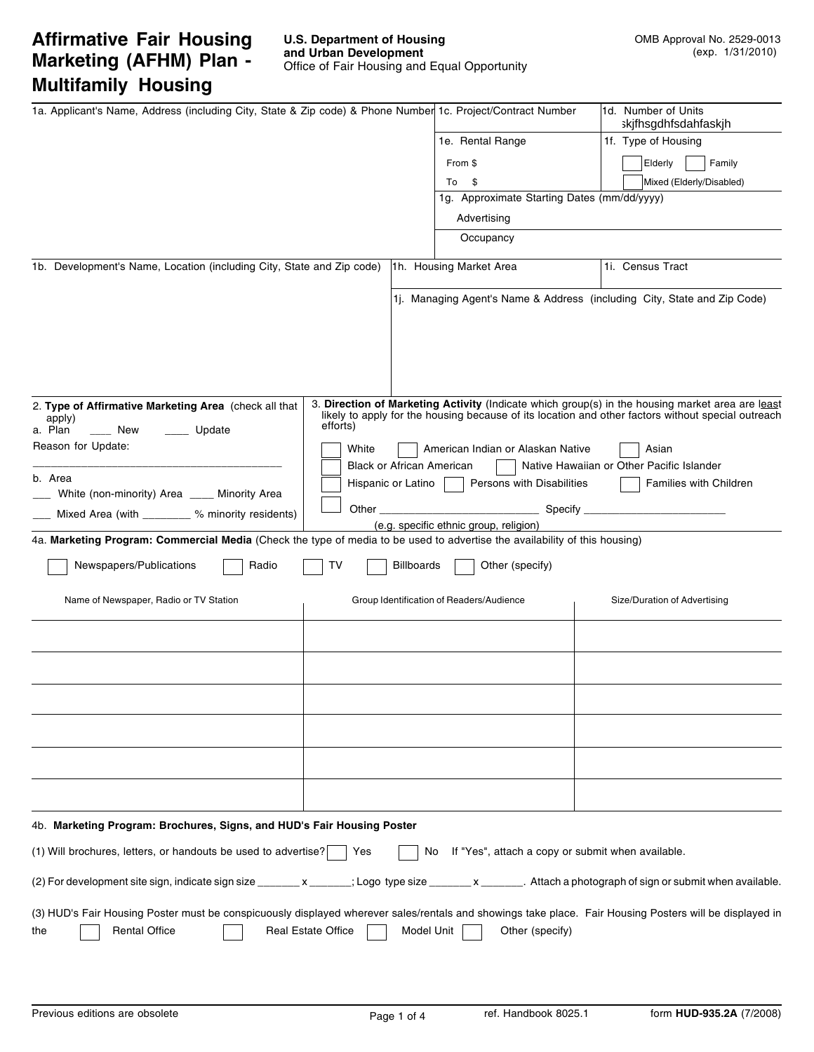# **Affirmative Fair Housing Marketing (AFHM) Plan - Multifamily Housing**

| 1a. Applicant's Name, Address (including City, State & Zip code) & Phone Number 1c. Project/Contract Number                                                                                                         |          |                           |                                                           | 1d. Number of Units                                                                                                                                                                                    |
|---------------------------------------------------------------------------------------------------------------------------------------------------------------------------------------------------------------------|----------|---------------------------|-----------------------------------------------------------|--------------------------------------------------------------------------------------------------------------------------------------------------------------------------------------------------------|
|                                                                                                                                                                                                                     |          |                           | 1e. Rental Range                                          | skjfhsgdhfsdahfaskjh<br>1f. Type of Housing                                                                                                                                                            |
|                                                                                                                                                                                                                     |          |                           |                                                           |                                                                                                                                                                                                        |
|                                                                                                                                                                                                                     |          |                           | From \$                                                   | Family<br>Elderly                                                                                                                                                                                      |
|                                                                                                                                                                                                                     |          |                           | - \$<br>To<br>1g. Approximate Starting Dates (mm/dd/yyyy) | Mixed (Elderly/Disabled)                                                                                                                                                                               |
|                                                                                                                                                                                                                     |          |                           | Advertising                                               |                                                                                                                                                                                                        |
|                                                                                                                                                                                                                     |          |                           | Occupancy                                                 |                                                                                                                                                                                                        |
|                                                                                                                                                                                                                     |          |                           |                                                           |                                                                                                                                                                                                        |
| 1b. Development's Name, Location (including City, State and Zip code)                                                                                                                                               |          |                           | 1h. Housing Market Area                                   | 1i. Census Tract                                                                                                                                                                                       |
|                                                                                                                                                                                                                     |          |                           |                                                           | 1. Managing Agent's Name & Address (including City, State and Zip Code)                                                                                                                                |
| 2. Type of Affirmative Marketing Area (check all that<br>apply)<br>a. Plan<br>Update<br>New                                                                                                                         | efforts) |                           |                                                           | 3. Direction of Marketing Activity (Indicate which group(s) in the housing market area are least<br>likely to apply for the housing because of its location and other factors without special outreach |
| Reason for Update:                                                                                                                                                                                                  | White    |                           | American Indian or Alaskan Native                         | Asian                                                                                                                                                                                                  |
|                                                                                                                                                                                                                     |          | Black or African American |                                                           | Native Hawaiian or Other Pacific Islander                                                                                                                                                              |
| b. Area<br>White (non-minority) Area _____ Minority Area                                                                                                                                                            |          | Hispanic or Latino        | Persons with Disabilities                                 | <b>Families with Children</b>                                                                                                                                                                          |
| Mixed Area (with ________ % minority residents)                                                                                                                                                                     | Other    |                           | Specify ___                                               |                                                                                                                                                                                                        |
|                                                                                                                                                                                                                     |          |                           | (e.g. specific ethnic group, religion)                    |                                                                                                                                                                                                        |
| 4a. Marketing Program: Commercial Media (Check the type of media to be used to advertise the availability of this housing)                                                                                          |          |                           |                                                           |                                                                                                                                                                                                        |
| Newspapers/Publications<br>Radio                                                                                                                                                                                    | т٧       | Billboards                | Other (specify)                                           |                                                                                                                                                                                                        |
| Name of Newspaper, Radio or TV Station                                                                                                                                                                              |          |                           | Group Identification of Readers/Audience                  | Size/Duration of Advertising                                                                                                                                                                           |
|                                                                                                                                                                                                                     |          |                           |                                                           |                                                                                                                                                                                                        |
|                                                                                                                                                                                                                     |          |                           |                                                           |                                                                                                                                                                                                        |
|                                                                                                                                                                                                                     |          |                           |                                                           |                                                                                                                                                                                                        |
|                                                                                                                                                                                                                     |          |                           |                                                           |                                                                                                                                                                                                        |
|                                                                                                                                                                                                                     |          |                           |                                                           |                                                                                                                                                                                                        |
|                                                                                                                                                                                                                     |          |                           |                                                           |                                                                                                                                                                                                        |
| 4b. Marketing Program: Brochures, Signs, and HUD's Fair Housing Poster                                                                                                                                              |          |                           |                                                           |                                                                                                                                                                                                        |
| (1) Will brochures, letters, or handouts be used to advertise?                                                                                                                                                      | Yes      | No.                       | If "Yes", attach a copy or submit when available.         |                                                                                                                                                                                                        |
| (2) For development site sign, indicate sign size ________x _______; Logo type size _______x _______. Attach a photograph of sign or submit when available.                                                         |          |                           |                                                           |                                                                                                                                                                                                        |
| (3) HUD's Fair Housing Poster must be conspicuously displayed wherever sales/rentals and showings take place. Fair Housing Posters will be displayed in<br><b>Rental Office</b><br><b>Real Estate Office</b><br>the |          | Model Unit                | Other (specify)                                           |                                                                                                                                                                                                        |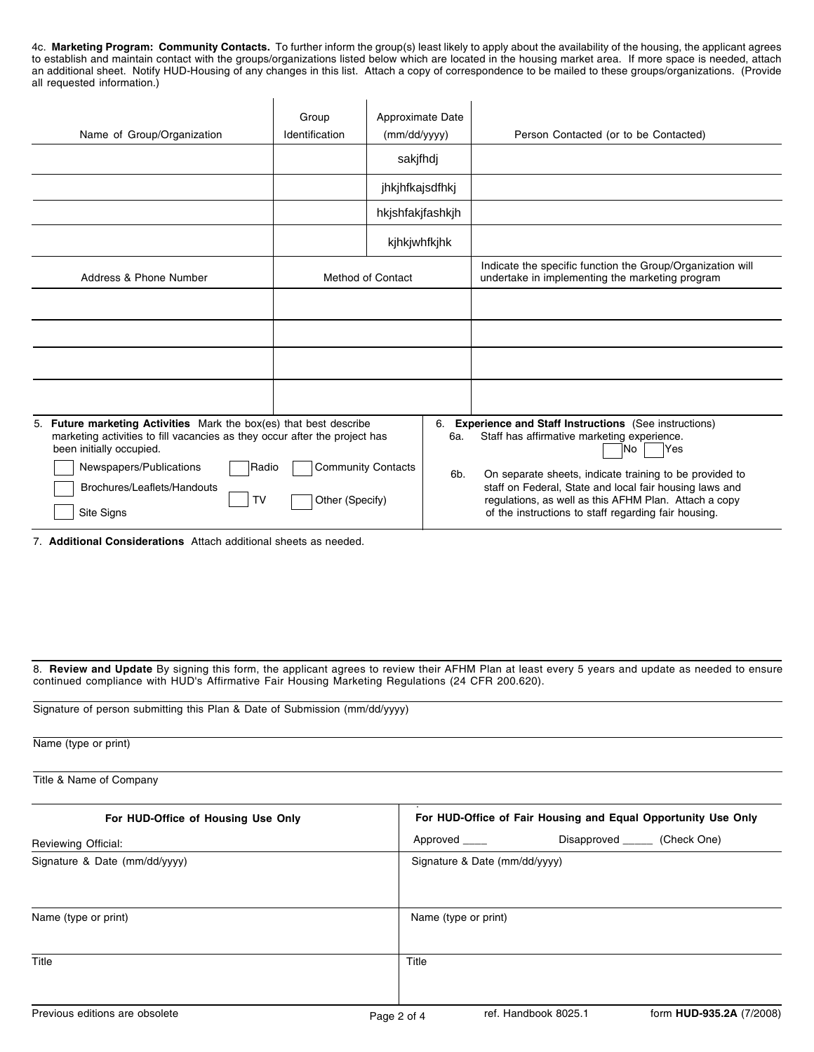4c. **Marketing Program: Community Contacts.** To further inform the group(s) least likely to apply about the availability of the housing, the applicant agrees to establish and maintain contact with the groups/organizations listed below which are located in the housing market area. If more space is needed, attach an additional sheet. Notify HUD-Housing of any changes in this list. Attach a copy of correspondence to be mailed to these groups/organizations. (Provide all requested information.)

| Name of Group/Organization                                                                                                                                                                                                                                          | Group<br>Identification                      | Approximate Date<br>(mm/dd/yyyy)<br>sakjfhdj |                  | Person Contacted (or to be Contacted)                                                                                                                                                                                                                                                                                                                            |
|---------------------------------------------------------------------------------------------------------------------------------------------------------------------------------------------------------------------------------------------------------------------|----------------------------------------------|----------------------------------------------|------------------|------------------------------------------------------------------------------------------------------------------------------------------------------------------------------------------------------------------------------------------------------------------------------------------------------------------------------------------------------------------|
|                                                                                                                                                                                                                                                                     |                                              | jhkjhfkajsdfhkj<br>hkjshfakjfashkjh          |                  |                                                                                                                                                                                                                                                                                                                                                                  |
|                                                                                                                                                                                                                                                                     |                                              | kjhkjwhfkjhk                                 |                  |                                                                                                                                                                                                                                                                                                                                                                  |
| Address & Phone Number                                                                                                                                                                                                                                              |                                              | <b>Method of Contact</b>                     |                  | Indicate the specific function the Group/Organization will<br>undertake in implementing the marketing program                                                                                                                                                                                                                                                    |
|                                                                                                                                                                                                                                                                     |                                              |                                              |                  |                                                                                                                                                                                                                                                                                                                                                                  |
|                                                                                                                                                                                                                                                                     |                                              |                                              |                  |                                                                                                                                                                                                                                                                                                                                                                  |
|                                                                                                                                                                                                                                                                     |                                              |                                              |                  |                                                                                                                                                                                                                                                                                                                                                                  |
|                                                                                                                                                                                                                                                                     |                                              |                                              |                  |                                                                                                                                                                                                                                                                                                                                                                  |
| 5. Future marketing Activities Mark the box(es) that best describe<br>marketing activities to fill vacancies as they occur after the project has<br>been initially occupied.<br>Newspapers/Publications<br>Radio<br>Brochures/Leaflets/Handouts<br>TV<br>Site Signs | <b>Community Contacts</b><br>Other (Specify) |                                              | 6.<br>6a.<br>6b. | <b>Experience and Staff Instructions</b> (See instructions)<br>Staff has affirmative marketing experience.<br>Yes<br>lNo.<br>On separate sheets, indicate training to be provided to<br>staff on Federal, State and local fair housing laws and<br>regulations, as well as this AFHM Plan. Attach a copy<br>of the instructions to staff regarding fair housing. |

7. **Additional Considerations** Attach additional sheets as needed.

8. **Review and Update** By signing this form, the applicant agrees to review their AFHM Plan at least every 5 years and update as needed to ensure continued compliance with HUD's Affirmative Fair Housing Marketing Regulations (24 CFR 200.620).

| Name (type or print)<br>Title & Name of Company  |  |  |  |  |  |  |  |
|--------------------------------------------------|--|--|--|--|--|--|--|
|                                                  |  |  |  |  |  |  |  |
| Disapproved _______ (Check One)<br>Approved ____ |  |  |  |  |  |  |  |
| Signature & Date (mm/dd/yyyy)                    |  |  |  |  |  |  |  |
| Name (type or print)                             |  |  |  |  |  |  |  |
| Title                                            |  |  |  |  |  |  |  |
|                                                  |  |  |  |  |  |  |  |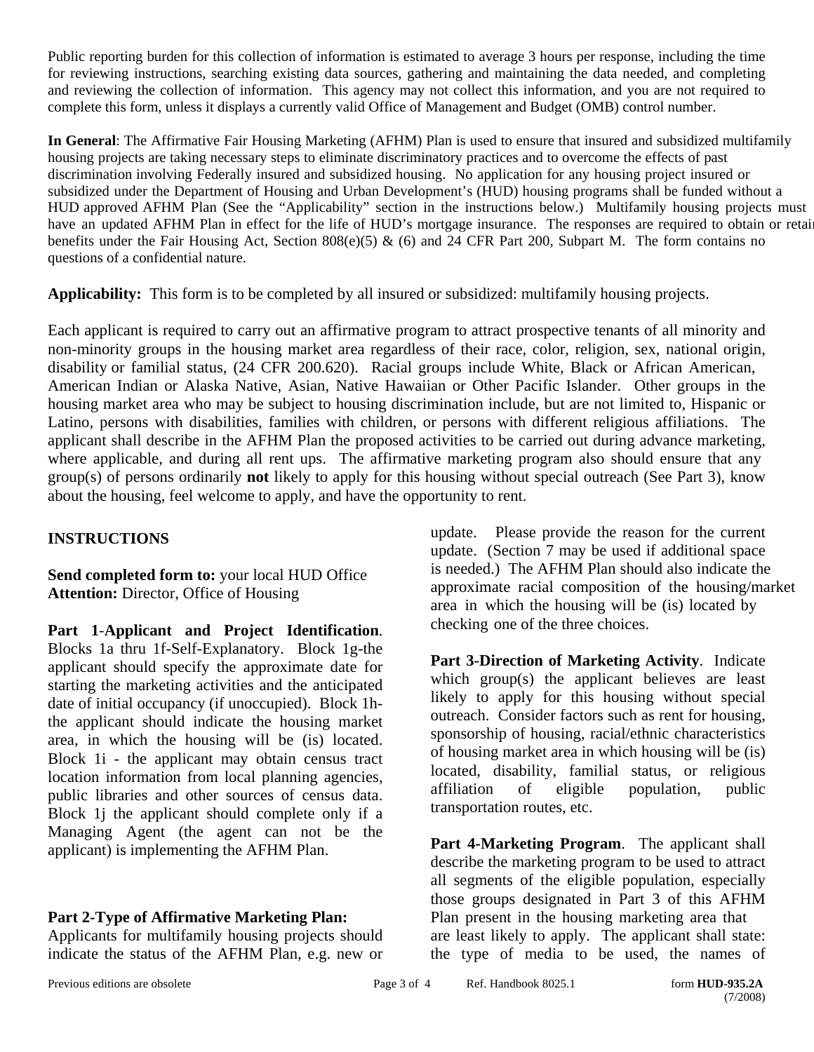Public reporting burden for this collection of information is estimated to average 3 hours per response, including the time for reviewing instructions, searching existing data sources, gathering and maintaining the data needed, and completing and reviewing the collection of information. This agency may not collect this information, and you are not required to complete this form, unless it displays a currently valid Office of Management and Budget (OMB) control number.

**In General**: The Affirmative Fair Housing Marketing (AFHM) Plan is used to ensure that insured and subsidized multifamily housing projects are taking necessary steps to eliminate discriminatory practices and to overcome the effects of past discrimination involving Federally insured and subsidized housing. No application for any housing project insured or subsidized under the Department of Housing and Urban Development's (HUD) housing programs shall be funded without a HUD approved AFHM Plan (See the "Applicability" section in the instructions below.) Multifamily housing projects must have an updated AFHM Plan in effect for the life of HUD's mortgage insurance. The responses are required to obtain or retain benefits under the Fair Housing Act, Section 808(e)(5) & (6) and 24 CFR Part 200, Subpart M. The form contains no questions of a confidential nature.

**Applicability:** This form is to be completed by all insured or subsidized: multifamily housing projects.

Each applicant is required to carry out an affirmative program to attract prospective tenants of all minority and non-minority groups in the housing market area regardless of their race, color, religion, sex, national origin, disability or familial status, (24 CFR 200.620). Racial groups include White, Black or African American, American Indian or Alaska Native, Asian, Native Hawaiian or Other Pacific Islander. Other groups in the housing market area who may be subject to housing discrimination include, but are not limited to, Hispanic or Latino, persons with disabilities, families with children, or persons with different religious affiliations. The applicant shall describe in the AFHM Plan the proposed activities to be carried out during advance marketing, where applicable, and during all rent ups. The affirmative marketing program also should ensure that any group(s) of persons ordinarily **not** likely to apply for this housing without special outreach (See Part 3), know about the housing, feel welcome to apply, and have the opportunity to rent.

## **INSTRUCTIONS**

**Send completed form to:** your local HUD Office **Attention:** Director, Office of Housing

**Part 1**-**Applicant and Project Identification**. Blocks 1a thru 1f-Self-Explanatory. Block 1g-the applicant should specify the approximate date for starting the marketing activities and the anticipated date of initial occupancy (if unoccupied). Block 1hthe applicant should indicate the housing market area, in which the housing will be (is) located. Block 1i - the applicant may obtain census tract location information from local planning agencies, public libraries and other sources of census data. Block 1j the applicant should complete only if a Managing Agent (the agent can not be the applicant) is implementing the AFHM Plan.

## **Part 2-Type of Affirmative Marketing Plan:**

Applicants for multifamily housing projects should indicate the status of the AFHM Plan, e.g. new or

update. Please provide the reason for the current update. (Section 7 may be used if additional space is needed.) The AFHM Plan should also indicate the approximate racial composition of the housing/market area in which the housing will be (is) located by checking one of the three choices.

**Part 3-Direction of Marketing Activity**. Indicate which group(s) the applicant believes are least likely to apply for this housing without special outreach. Consider factors such as rent for housing, sponsorship of housing, racial/ethnic characteristics of housing market area in which housing will be (is) located, disability, familial status, or religious affiliation of eligible population, public transportation routes, etc.

**Part 4-Marketing Program**. The applicant shall describe the marketing program to be used to attract all segments of the eligible population, especially those groups designated in Part 3 of this AFHM Plan present in the housing marketing area that are least likely to apply. The applicant shall state: the type of media to be used, the names of